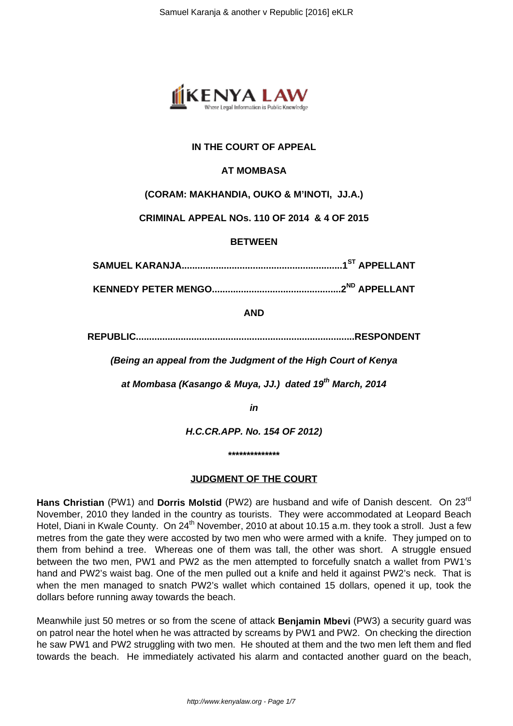

## **IN THE COURT OF APPEAL**

## **AT MOMBASA**

## **(CORAM: MAKHANDIA, OUKO & M'INOTI, JJ.A.)**

#### **CRIMINAL APPEAL NOs. 110 OF 2014 & 4 OF 2015**

#### **BETWEEN**

**SAMUEL KARANJA.............................................................1ST APPELLANT**

**KENNEDY PETER MENGO.................................................2ND APPELLANT**

**AND**

**REPUBLIC...................................................................................RESPONDENT**

**(Being an appeal from the Judgment of the High Court of Kenya**

**at Mombasa (Kasango & Muya, JJ.) dated 19th March, 2014**

**in**

**H.C.CR.APP. No. 154 OF 2012)**

**\*\*\*\*\*\*\*\*\*\*\*\*\*\***

## **JUDGMENT OF THE COURT**

**Hans Christian** (PW1) and **Dorris Molstid** (PW2) are husband and wife of Danish descent. On 23rd November, 2010 they landed in the country as tourists. They were accommodated at Leopard Beach Hotel, Diani in Kwale County. On 24<sup>th</sup> November, 2010 at about 10.15 a.m. they took a stroll. Just a few metres from the gate they were accosted by two men who were armed with a knife. They jumped on to them from behind a tree. Whereas one of them was tall, the other was short. A struggle ensued between the two men, PW1 and PW2 as the men attempted to forcefully snatch a wallet from PW1's hand and PW2's waist bag. One of the men pulled out a knife and held it against PW2's neck. That is when the men managed to snatch PW2's wallet which contained 15 dollars, opened it up, took the dollars before running away towards the beach.

Meanwhile just 50 metres or so from the scene of attack **Benjamin Mbevi** (PW3) a security guard was on patrol near the hotel when he was attracted by screams by PW1 and PW2. On checking the direction he saw PW1 and PW2 struggling with two men. He shouted at them and the two men left them and fled towards the beach. He immediately activated his alarm and contacted another guard on the beach,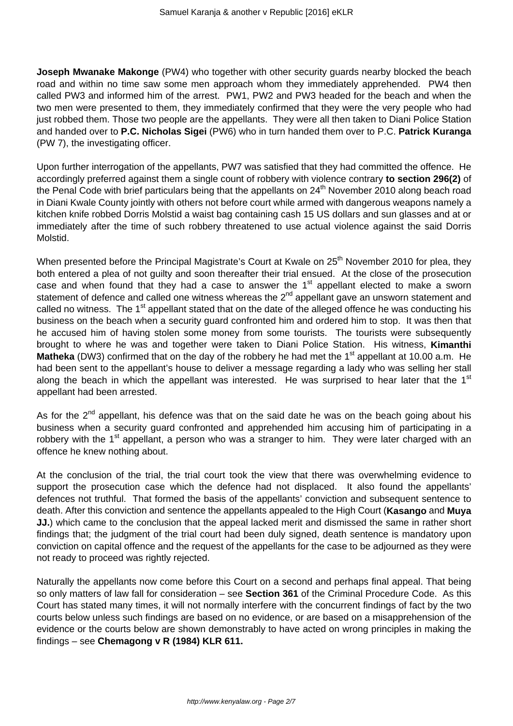**Joseph Mwanake Makonge** (PW4) who together with other security guards nearby blocked the beach road and within no time saw some men approach whom they immediately apprehended. PW4 then called PW3 and informed him of the arrest. PW1, PW2 and PW3 headed for the beach and when the two men were presented to them, they immediately confirmed that they were the very people who had just robbed them. Those two people are the appellants. They were all then taken to Diani Police Station and handed over to **P.C. Nicholas Sigei** (PW6) who in turn handed them over to P.C. **Patrick Kuranga** (PW 7), the investigating officer.

Upon further interrogation of the appellants, PW7 was satisfied that they had committed the offence. He accordingly preferred against them a single count of robbery with violence contrary **to section 296(2)** of the Penal Code with brief particulars being that the appellants on 24<sup>th</sup> November 2010 along beach road in Diani Kwale County jointly with others not before court while armed with dangerous weapons namely a kitchen knife robbed Dorris Molstid a waist bag containing cash 15 US dollars and sun glasses and at or immediately after the time of such robbery threatened to use actual violence against the said Dorris Molstid.

When presented before the Principal Magistrate's Court at Kwale on 25<sup>th</sup> November 2010 for plea, they both entered a plea of not guilty and soon thereafter their trial ensued. At the close of the prosecution case and when found that they had a case to answer the 1<sup>st</sup> appellant elected to make a sworn statement of defence and called one witness whereas the 2<sup>nd</sup> appellant gave an unsworn statement and called no witness. The 1<sup>st</sup> appellant stated that on the date of the alleged offence he was conducting his business on the beach when a security guard confronted him and ordered him to stop. It was then that he accused him of having stolen some money from some tourists. The tourists were subsequently brought to where he was and together were taken to Diani Police Station. His witness, **Kimanthi Matheka** (DW3) confirmed that on the day of the robbery he had met the 1<sup>st</sup> appellant at 10.00 a.m. He had been sent to the appellant's house to deliver a message regarding a lady who was selling her stall along the beach in which the appellant was interested. He was surprised to hear later that the  $1<sup>st</sup>$ appellant had been arrested.

As for the  $2<sup>nd</sup>$  appellant, his defence was that on the said date he was on the beach going about his business when a security guard confronted and apprehended him accusing him of participating in a robbery with the 1<sup>st</sup> appellant, a person who was a stranger to him. They were later charged with an offence he knew nothing about.

At the conclusion of the trial, the trial court took the view that there was overwhelming evidence to support the prosecution case which the defence had not displaced. It also found the appellants' defences not truthful. That formed the basis of the appellants' conviction and subsequent sentence to death. After this conviction and sentence the appellants appealed to the High Court (**Kasango** and **Muya JJ.**) which came to the conclusion that the appeal lacked merit and dismissed the same in rather short findings that; the judgment of the trial court had been duly signed, death sentence is mandatory upon conviction on capital offence and the request of the appellants for the case to be adjourned as they were not ready to proceed was rightly rejected.

Naturally the appellants now come before this Court on a second and perhaps final appeal. That being so only matters of law fall for consideration – see **Section 361** of the Criminal Procedure Code. As this Court has stated many times, it will not normally interfere with the concurrent findings of fact by the two courts below unless such findings are based on no evidence, or are based on a misapprehension of the evidence or the courts below are shown demonstrably to have acted on wrong principles in making the findings – see **Chemagong v R (1984) KLR 611.**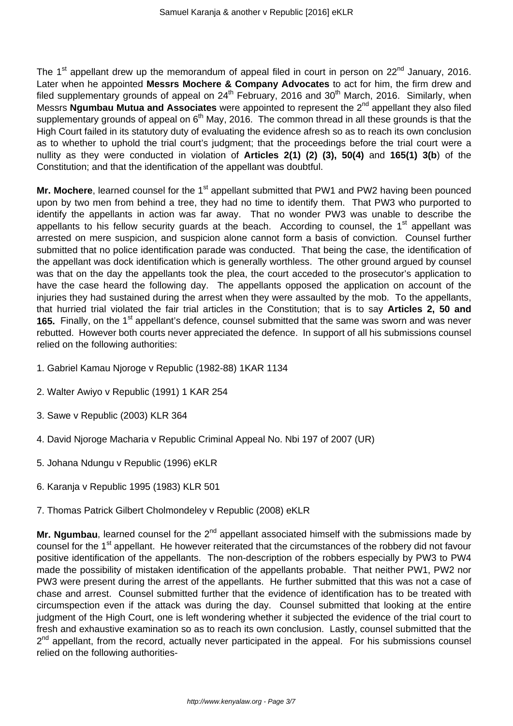The 1<sup>st</sup> appellant drew up the memorandum of appeal filed in court in person on 22<sup>nd</sup> January, 2016. Later when he appointed **Messrs Mochere & Company Advocates** to act for him, the firm drew and filed supplementary grounds of appeal on  $24<sup>th</sup>$  February, 2016 and 30<sup>th</sup> March, 2016. Similarly, when Messrs **Ngumbau Mutua and Associates** were appointed to represent the 2nd appellant they also filed supplementary grounds of appeal on  $6<sup>th</sup>$  May, 2016. The common thread in all these grounds is that the High Court failed in its statutory duty of evaluating the evidence afresh so as to reach its own conclusion as to whether to uphold the trial court's judgment; that the proceedings before the trial court were a nullity as they were conducted in violation of **Articles 2(1) (2) (3), 50(4)** and **165(1) 3(b**) of the Constitution; and that the identification of the appellant was doubtful.

**Mr. Mochere**, learned counsel for the 1<sup>st</sup> appellant submitted that PW1 and PW2 having been pounced upon by two men from behind a tree, they had no time to identify them. That PW3 who purported to identify the appellants in action was far away. That no wonder PW3 was unable to describe the appellants to his fellow security quards at the beach. According to counsel, the  $1<sup>st</sup>$  appellant was arrested on mere suspicion, and suspicion alone cannot form a basis of conviction. Counsel further submitted that no police identification parade was conducted. That being the case, the identification of the appellant was dock identification which is generally worthless. The other ground argued by counsel was that on the day the appellants took the plea, the court acceded to the prosecutor's application to have the case heard the following day. The appellants opposed the application on account of the injuries they had sustained during the arrest when they were assaulted by the mob. To the appellants, that hurried trial violated the fair trial articles in the Constitution; that is to say **Articles 2, 50 and** 165. Finally, on the 1<sup>st</sup> appellant's defence, counsel submitted that the same was sworn and was never rebutted. However both courts never appreciated the defence. In support of all his submissions counsel relied on the following authorities:

- 1. Gabriel Kamau Njoroge v Republic (1982-88) 1KAR 1134
- 2. Walter Awiyo v Republic (1991) 1 KAR 254
- 3. Sawe v Republic (2003) KLR 364
- 4. David Njoroge Macharia v Republic Criminal Appeal No. Nbi 197 of 2007 (UR)
- 5. Johana Ndungu v Republic (1996) eKLR
- 6. Karanja v Republic 1995 (1983) KLR 501

## 7. Thomas Patrick Gilbert Cholmondeley v Republic (2008) eKLR

Mr. Ngumbau, learned counsel for the 2<sup>nd</sup> appellant associated himself with the submissions made by counsel for the 1<sup>st</sup> appellant. He however reiterated that the circumstances of the robbery did not favour positive identification of the appellants. The non-description of the robbers especially by PW3 to PW4 made the possibility of mistaken identification of the appellants probable. That neither PW1, PW2 nor PW3 were present during the arrest of the appellants. He further submitted that this was not a case of chase and arrest. Counsel submitted further that the evidence of identification has to be treated with circumspection even if the attack was during the day. Counsel submitted that looking at the entire judgment of the High Court, one is left wondering whether it subjected the evidence of the trial court to fresh and exhaustive examination so as to reach its own conclusion. Lastly, counsel submitted that the 2<sup>nd</sup> appellant, from the record, actually never participated in the appeal. For his submissions counsel relied on the following authorities-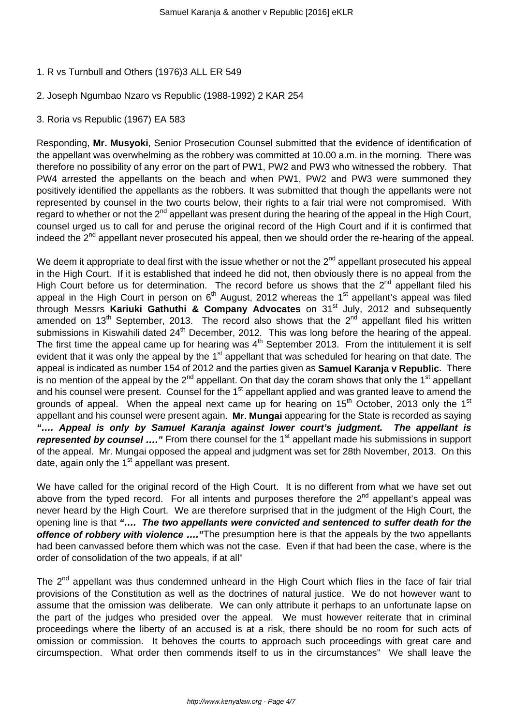## 1. R vs Turnbull and Others (1976)3 ALL ER 549

## 2. Joseph Ngumbao Nzaro vs Republic (1988-1992) 2 KAR 254

## 3. Roria vs Republic (1967) EA 583

Responding, **Mr. Musyoki**, Senior Prosecution Counsel submitted that the evidence of identification of the appellant was overwhelming as the robbery was committed at 10.00 a.m. in the morning. There was therefore no possibility of any error on the part of PW1, PW2 and PW3 who witnessed the robbery. That PW4 arrested the appellants on the beach and when PW1, PW2 and PW3 were summoned they positively identified the appellants as the robbers. It was submitted that though the appellants were not represented by counsel in the two courts below, their rights to a fair trial were not compromised. With regard to whether or not the 2<sup>nd</sup> appellant was present during the hearing of the appeal in the High Court, counsel urged us to call for and peruse the original record of the High Court and if it is confirmed that indeed the 2<sup>nd</sup> appellant never prosecuted his appeal, then we should order the re-hearing of the appeal.

We deem it appropriate to deal first with the issue whether or not the 2<sup>nd</sup> appellant prosecuted his appeal in the High Court. If it is established that indeed he did not, then obviously there is no appeal from the High Court before us for determination. The record before us shows that the 2<sup>nd</sup> appellant filed his appeal in the High Court in person on 6<sup>th</sup> August, 2012 whereas the 1<sup>st</sup> appellant's appeal was filed through Messrs **Kariuki Gathuthi & Company Advocates** on 31st July, 2012 and subsequently amended on 13<sup>th</sup> September, 2013. The record also shows that the  $2<sup>nd</sup>$  appellant filed his written submissions in Kiswahili dated 24<sup>th</sup> December, 2012. This was long before the hearing of the appeal. The first time the appeal came up for hearing was  $4<sup>th</sup>$  September 2013. From the intitulement it is self evident that it was only the appeal by the 1<sup>st</sup> appellant that was scheduled for hearing on that date. The appeal is indicated as number 154 of 2012 and the parties given as **Samuel Karanja v Republic**. There is no mention of the appeal by the  $2^{nd}$  appellant. On that day the coram shows that only the  $1^{st}$  appellant and his counsel were present. Counsel for the 1<sup>st</sup> appellant applied and was granted leave to amend the grounds of appeal. When the appeal next came up for hearing on  $15<sup>th</sup>$  October, 2013 only the  $1<sup>st</sup>$ appellant and his counsel were present again**. Mr. Mungai** appearing for the State is recorded as saying **"…. Appeal is only by Samuel Karanja against lower court's judgment. The appellant is represented by counsel ....**" From there counsel for the 1<sup>st</sup> appellant made his submissions in support of the appeal. Mr. Mungai opposed the appeal and judgment was set for 28th November, 2013. On this date, again only the  $1<sup>st</sup>$  appellant was present.

We have called for the original record of the High Court. It is no different from what we have set out above from the typed record. For all intents and purposes therefore the  $2^{nd}$  appellant's appeal was never heard by the High Court. We are therefore surprised that in the judgment of the High Court, the opening line is that **"…. The two appellants were convicted and sentenced to suffer death for the offence of robbery with violence …."**The presumption here is that the appeals by the two appellants had been canvassed before them which was not the case. Even if that had been the case, where is the order of consolidation of the two appeals, if at all"

The 2<sup>nd</sup> appellant was thus condemned unheard in the High Court which flies in the face of fair trial provisions of the Constitution as well as the doctrines of natural justice. We do not however want to assume that the omission was deliberate. We can only attribute it perhaps to an unfortunate lapse on the part of the judges who presided over the appeal. We must however reiterate that in criminal proceedings where the liberty of an accused is at a risk, there should be no room for such acts of omission or commission. It behoves the courts to approach such proceedings with great care and circumspection. What order then commends itself to us in the circumstances" We shall leave the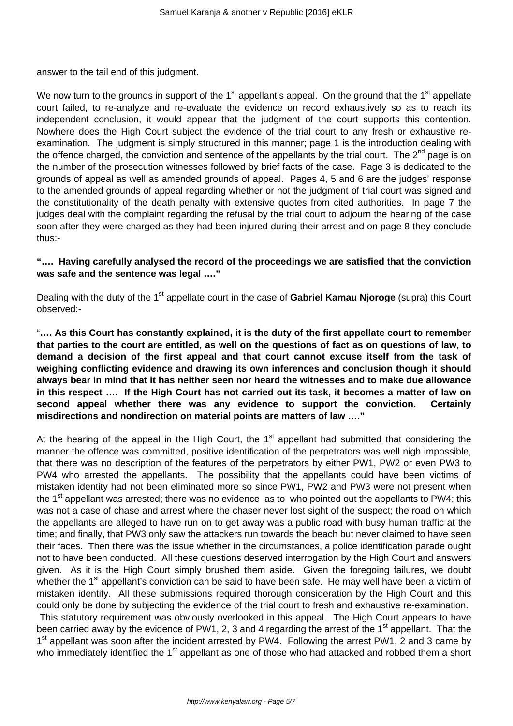answer to the tail end of this judgment.

We now turn to the grounds in support of the 1<sup>st</sup> appellant's appeal. On the ground that the 1<sup>st</sup> appellate court failed, to re-analyze and re-evaluate the evidence on record exhaustively so as to reach its independent conclusion, it would appear that the judgment of the court supports this contention. Nowhere does the High Court subject the evidence of the trial court to any fresh or exhaustive reexamination. The judgment is simply structured in this manner; page 1 is the introduction dealing with the offence charged, the conviction and sentence of the appellants by the trial court. The  $2^{nd}$  page is on the number of the prosecution witnesses followed by brief facts of the case. Page 3 is dedicated to the grounds of appeal as well as amended grounds of appeal. Pages 4, 5 and 6 are the judges' response to the amended grounds of appeal regarding whether or not the judgment of trial court was signed and the constitutionality of the death penalty with extensive quotes from cited authorities. In page 7 the judges deal with the complaint regarding the refusal by the trial court to adjourn the hearing of the case soon after they were charged as they had been injured during their arrest and on page 8 they conclude thus:-

#### **"…. Having carefully analysed the record of the proceedings we are satisfied that the conviction was safe and the sentence was legal …."**

Dealing with the duty of the 1<sup>st</sup> appellate court in the case of **Gabriel Kamau Nioroge** (supra) this Court observed:-

"**…. As this Court has constantly explained, it is the duty of the first appellate court to remember that parties to the court are entitled, as well on the questions of fact as on questions of law, to demand a decision of the first appeal and that court cannot excuse itself from the task of weighing conflicting evidence and drawing its own inferences and conclusion though it should always bear in mind that it has neither seen nor heard the witnesses and to make due allowance in this respect …. If the High Court has not carried out its task, it becomes a matter of law on second appeal whether there was any evidence to support the conviction. Certainly misdirections and nondirection on material points are matters of law …."**

At the hearing of the appeal in the High Court, the  $1<sup>st</sup>$  appellant had submitted that considering the manner the offence was committed, positive identification of the perpetrators was well nigh impossible, that there was no description of the features of the perpetrators by either PW1, PW2 or even PW3 to PW4 who arrested the appellants. The possibility that the appellants could have been victims of mistaken identity had not been eliminated more so since PW1, PW2 and PW3 were not present when the  $1<sup>st</sup>$  appellant was arrested; there was no evidence as to who pointed out the appellants to PW4; this was not a case of chase and arrest where the chaser never lost sight of the suspect; the road on which the appellants are alleged to have run on to get away was a public road with busy human traffic at the time; and finally, that PW3 only saw the attackers run towards the beach but never claimed to have seen their faces. Then there was the issue whether in the circumstances, a police identification parade ought not to have been conducted. All these questions deserved interrogation by the High Court and answers given. As it is the High Court simply brushed them aside. Given the foregoing failures, we doubt whether the 1<sup>st</sup> appellant's conviction can be said to have been safe. He may well have been a victim of mistaken identity. All these submissions required thorough consideration by the High Court and this could only be done by subjecting the evidence of the trial court to fresh and exhaustive re-examination. This statutory requirement was obviously overlooked in this appeal. The High Court appears to have been carried away by the evidence of PW1, 2, 3 and 4 regarding the arrest of the 1<sup>st</sup> appellant. That the 1<sup>st</sup> appellant was soon after the incident arrested by PW4. Following the arrest PW1, 2 and 3 came by who immediately identified the 1<sup>st</sup> appellant as one of those who had attacked and robbed them a short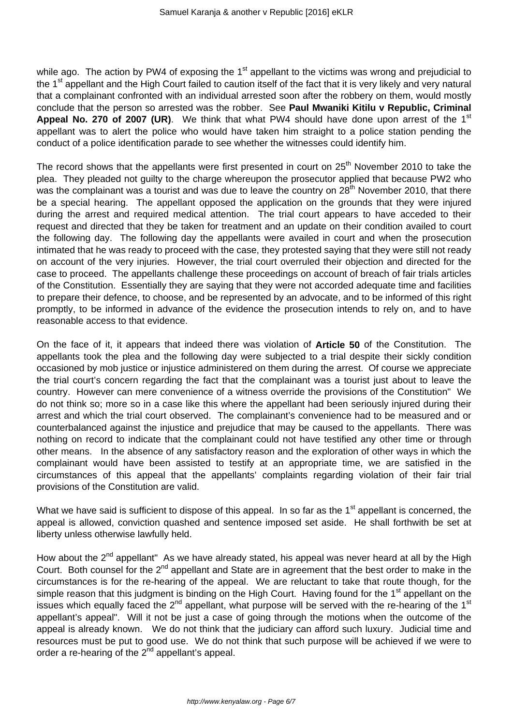while ago. The action by PW4 of exposing the 1<sup>st</sup> appellant to the victims was wrong and prejudicial to the 1<sup>st</sup> appellant and the High Court failed to caution itself of the fact that it is very likely and very natural that a complainant confronted with an individual arrested soon after the robbery on them, would mostly conclude that the person so arrested was the robber. See **Paul Mwaniki Kitilu v Republic, Criminal Appeal No. 270 of 2007 (UR)**. We think that what PW4 should have done upon arrest of the 1<sup>st</sup> appellant was to alert the police who would have taken him straight to a police station pending the conduct of a police identification parade to see whether the witnesses could identify him.

The record shows that the appellants were first presented in court on 25<sup>th</sup> November 2010 to take the plea. They pleaded not guilty to the charge whereupon the prosecutor applied that because PW2 who was the complainant was a tourist and was due to leave the country on 28<sup>th</sup> November 2010, that there be a special hearing. The appellant opposed the application on the grounds that they were injured during the arrest and required medical attention. The trial court appears to have acceded to their request and directed that they be taken for treatment and an update on their condition availed to court the following day. The following day the appellants were availed in court and when the prosecution intimated that he was ready to proceed with the case, they protested saying that they were still not ready on account of the very injuries. However, the trial court overruled their objection and directed for the case to proceed. The appellants challenge these proceedings on account of breach of fair trials articles of the Constitution. Essentially they are saying that they were not accorded adequate time and facilities to prepare their defence, to choose, and be represented by an advocate, and to be informed of this right promptly, to be informed in advance of the evidence the prosecution intends to rely on, and to have reasonable access to that evidence.

On the face of it, it appears that indeed there was violation of **Article 50** of the Constitution. The appellants took the plea and the following day were subjected to a trial despite their sickly condition occasioned by mob justice or injustice administered on them during the arrest. Of course we appreciate the trial court's concern regarding the fact that the complainant was a tourist just about to leave the country. However can mere convenience of a witness override the provisions of the Constitution" We do not think so; more so in a case like this where the appellant had been seriously injured during their arrest and which the trial court observed. The complainant's convenience had to be measured and or counterbalanced against the injustice and prejudice that may be caused to the appellants. There was nothing on record to indicate that the complainant could not have testified any other time or through other means. In the absence of any satisfactory reason and the exploration of other ways in which the complainant would have been assisted to testify at an appropriate time, we are satisfied in the circumstances of this appeal that the appellants' complaints regarding violation of their fair trial provisions of the Constitution are valid.

What we have said is sufficient to dispose of this appeal. In so far as the 1<sup>st</sup> appellant is concerned, the appeal is allowed, conviction quashed and sentence imposed set aside. He shall forthwith be set at liberty unless otherwise lawfully held.

How about the 2<sup>nd</sup> appellant" As we have already stated, his appeal was never heard at all by the High Court. Both counsel for the 2<sup>nd</sup> appellant and State are in agreement that the best order to make in the circumstances is for the re-hearing of the appeal. We are reluctant to take that route though, for the simple reason that this judgment is binding on the High Court. Having found for the 1<sup>st</sup> appellant on the issues which equally faced the  $2^{nd}$  appellant, what purpose will be served with the re-hearing of the 1<sup>st</sup> appellant's appeal". Will it not be just a case of going through the motions when the outcome of the appeal is already known. We do not think that the judiciary can afford such luxury. Judicial time and resources must be put to good use. We do not think that such purpose will be achieved if we were to order a re-hearing of the 2<sup>nd</sup> appellant's appeal.